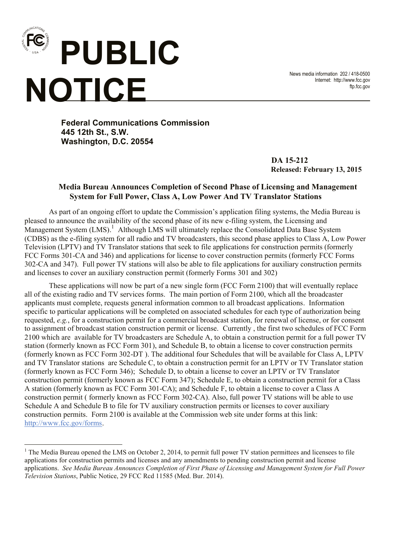

i<br>Li

News media information 202 / 418-0500 Internet: http://www.fcc.gov ftp.fcc.gov

**Federal Communications Commission 445 12th St., S.W. Washington, D.C. 20554**

> **DA 15-212 Released: February 13, 2015**

## **Media Bureau Announces Completion of Second Phase of Licensing and Management System for Full Power, Class A, Low Power And TV Translator Stations**

As part of an ongoing effort to update the Commission's application filing systems, the Media Bureau is pleased to announce the availability of the second phase of its new e-filing system, the Licensing and Management System (LMS).<sup>1</sup> Although LMS will ultimately replace the Consolidated Data Base System (CDBS) as the e-filing system for all radio and TV broadcasters, this second phase applies to Class A, Low Power Television (LPTV) and TV Translator stations that seek to file applications for construction permits (formerly FCC Forms 301-CA and 346) and applications for license to cover construction permits (formerly FCC Forms 302-CA and 347). Full power TV stations will also be able to file applications for auxiliary construction permits and licenses to cover an auxiliary construction permit (formerly Forms 301 and 302)

These applications will now be part of a new single form (FCC Form 2100) that will eventually replace all of the existing radio and TV services forms. The main portion of Form 2100, which all the broadcaster applicants must complete, requests general information common to all broadcast applications. Information specific to particular applications will be completed on associated schedules for each type of authorization being requested, *e.g.*, for a construction permit for a commercial broadcast station, for renewal of license, or for consent to assignment of broadcast station construction permit or license. Currently , the first two schedules of FCC Form 2100 which are available for TV broadcasters are Schedule A, to obtain a construction permit for a full power TV station (formerly known as FCC Form 301), and Schedule B, to obtain a license to cover construction permits (formerly known as FCC Form 302-DT ). The additional four Schedules that will be available for Class A, LPTV and TV Translator stations are Schedule C, to obtain a construction permit for an LPTV or TV Translator station (formerly known as FCC Form 346); Schedule D, to obtain a license to cover an LPTV or TV Translator construction permit (formerly known as FCC Form 347); Schedule E, to obtain a construction permit for a Class A station (formerly known as FCC Form 301-CA); and Schedule F, to obtain a license to cover a Class A construction permit ( formerly known as FCC Form 302-CA). Also, full power TV stations will be able to use Schedule A and Schedule B to file for TV auxiliary construction permits or licenses to cover auxiliary construction permits. Form 2100 is available at the Commission web site under forms at this link: http://www.fcc.gov/forms.

<sup>&</sup>lt;sup>1</sup> The Media Bureau opened the LMS on October 2, 2014, to permit full power TV station permittees and licensees to file applications for construction permits and licenses and any amendments to pending construction permit and license applications. *See Media Bureau Announces Completion of First Phase of Licensing and Management System for Full Power Television Stations*, Public Notice, 29 FCC Rcd 11585 (Med. Bur. 2014).